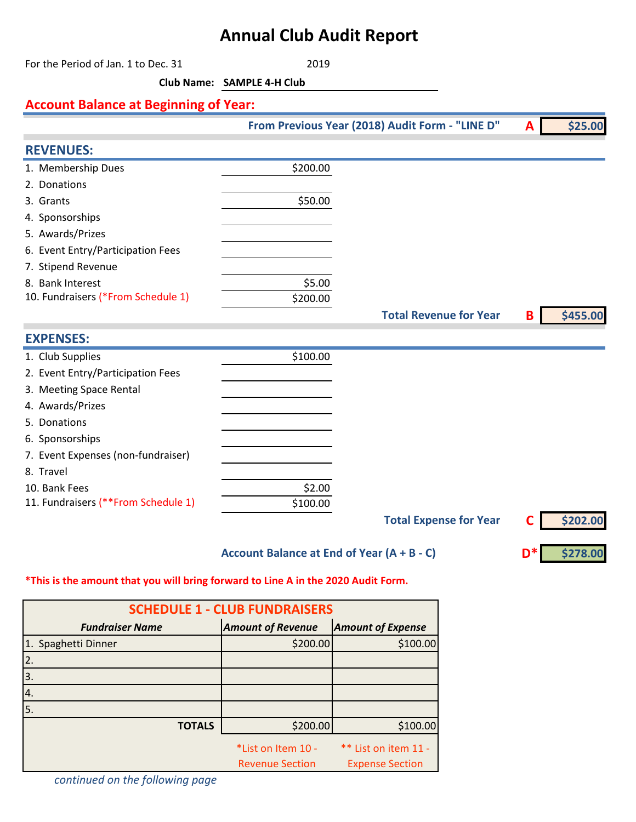## **Annual Club Audit Report**

For the Period of Jan. 1 to Dec. 31 2019 **Club Name: SAMPLE 4-H Club Account Balance at Beginning of Year: A \$25.00 REVENUES:** 1. Membership Dues \$200.00 2. Donations  $3.$  Grants  $$50.00$ 4. Sponsorships 5. Awards/Prizes 6. Event Entry/Participation Fees 7. Stipend Revenue 8. Bank Interest \$5.00 10. Fundraisers (\*From Schedule 1) \$200.00 **B \$455.00 EXPENSES:** 1. Club Supplies  $$100.00$ 2. Event Entry/Participation Fees 3. Meeting Space Rental 4. Awards/Prizes 5. Donations 6. Sponsorships 7. Event Expenses (non-fundraiser) 8. Travel 10. Bank Fees \$2.00 11. Fundraisers (\*\*From Schedule 1) \$100.00 **C \$202.00 Total Revenue for Year From Previous Year (2018) Audit Form - "LINE D" Total Expense for Year**

**Account Balance at End of Year (A + B - C)**

**D\* \$278.00**

## **\*This is the amount that you will bring forward to Line A in the 2020 Audit Form.**

| <b>SCHEDULE 1 - CLUB FUNDRAISERS</b> |                                              |                                                |  |  |  |
|--------------------------------------|----------------------------------------------|------------------------------------------------|--|--|--|
| <b>Fundraiser Name</b>               | <b>Amount of Revenue</b>                     | <b>Amount of Expense</b>                       |  |  |  |
| 1. Spaghetti Dinner                  | \$200.00                                     | \$100.00                                       |  |  |  |
| 2.                                   |                                              |                                                |  |  |  |
| 3.                                   |                                              |                                                |  |  |  |
| 4.                                   |                                              |                                                |  |  |  |
| 5.                                   |                                              |                                                |  |  |  |
| <b>TOTALS</b>                        | \$200.00                                     | \$100.00                                       |  |  |  |
|                                      | *List on Item 10 -<br><b>Revenue Section</b> | ** List on item 11 -<br><b>Expense Section</b> |  |  |  |